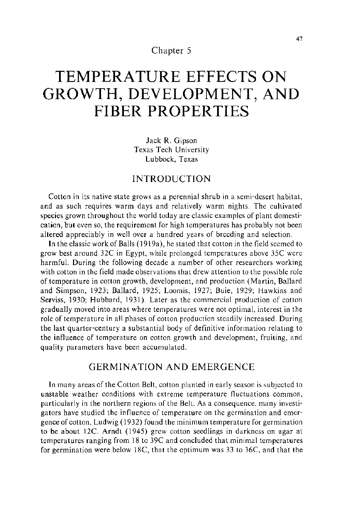## Chapter 5

# **TEMPERATURE EFFECTS ON GROWTH, DEVELOPMENT, AND FIBER PROPER TIES**

Jack R. Gipson Texas Tech University Lubbock, Texas

# INTRODUCTION

Cotton in its native state grows as a perennial shrub in a semi-desert habitat, and as such requires warm days and relatively warm nights. The cultivated species grown throughout the world today are classic examples of plant domestication, but even so, the requirement for high temperatures has probably not been altered appreciably in well over a hundred years of breeding and selection.

In the classic work of Balls ( 1919a), he stated that cotton in the field seemed to grow best around 32C in Egypt, while prolonged temperatures above 35C were harmful. During the following decade a number of other researchers working with cotton in the field made observations that drew attention to the possible role of temperature in cotton growth, development, and production (Martin, Ballard and Simpson, 1923; Ballard, 1925; Loomis, 1927; Buie, 1929; Hawkins and Serviss, 1930; Hubbard, 1931). Later as the commercial production of cotton gradually moved into areas where temperatures were not optimal, interest in the role of temperature in all phases of cotton production steadily increased. During the last quarter-century a substantial body of definitive information relating to the influence of temperature on cotton growth and development, fruiting, and quality parameters have been accumulated.

# GERMINATION AND EMERGENCE

In many areas of the Cotton Belt, cotton planted in early season is subjected to unstable weather conditions with extreme temperature fluctuations common, particularly in the northern regions of the Belt. As a consequence, many investigators have studied the influence of temperature on the germination and emergence of cotton. Ludwig ( 1932) found the minimum temperature for germination to be about 12C. Arndt (1945) grew cotton seedlings in darkness on agar at temperatures ranging from 18 to 39C and concluded that minimal temperatures for germination were below 18C, that the optimum was 33 to 36C, and that the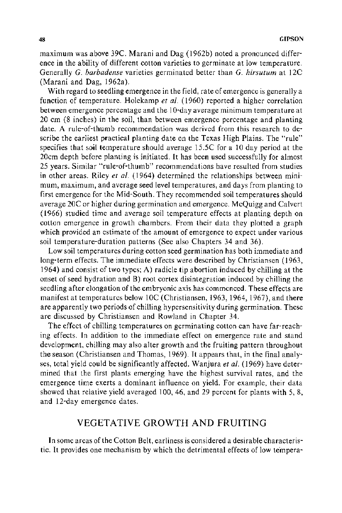maximum was above 39C. Marani and Dag (1962b) noted a pronounced difference in the ability of different cotton varieties to germinate at low temperature. Generally *G. barbadense* varieties germinated better than *G. hirsutum* at 12C (Marani and Dag, 1962a).

With regard to seedling emergence in the field, rate of emergence is generally a function of temperature. Holekamp *et a/.* (1960) reported a higher correlation between emergence percentage and the 1 0-day average minimum temperature at 20 em (8 inches) in the soil, than between emergence percentage and planting date. A rule-of-thumb recommendation was derived from this research to describe the earliest practical planting date on the Texas High Plains. The "rule" specifies that soil temperature should average 15.5C for a 10 day period at the 20cm depth before planting is initiated. It has been used successfully for almost 25 years. Similar "rule-of-thumb" recommendations have resulted from studies in other areas. Riley *et a/.* ( 1964) determined the relationships between minimum, maximum, and average seed level temperatures, and days from planting to first emergence for the Mid-South. They recommended soil temperatures should average 20C or higher during germination and emergence. McQuigg and Calvert (1966) studied time and average soil temperature effects at planting depth on cotton emergence in growth chambers. From their data they plotted a graph which provided an estimate of the amount of emergence to expect under various soil temperature-duration patterns (See also Chapters 34 and 36).

Low soil temperatures during cotton seed germination has both immediate and long-term effects. The immediate effects were described by Christiansen (1963, 1964) and consist of two types; A) radicle tip abortion induced by chilling at the onset of seed hydration and B) root cortex disintegration induced by chilling the seedling after elongation of the embryonic axis has commenced. These effects are manifest at temperatures below 10C (Christiansen, 1963, 1964, 1967), and there are apparently two periods of chilling hypersensitivity during germination. These are discussed by Christiansen and Rowland in Chapter 34.

The effect of chilling temperatures on germinating cotton can have far-reaching effects. In addition to the immediate effect on emergence rate and stand development, chilling may also alter growth and the fruiting pattern throughout the season (Christiansen and Thomas, 1969). It appears that, in the final analyses, total yield could be significantly affected. Wanjura *et al.* (1969) have determined that the first plants emerging have the highest survival rates, and the emergence time exerts a dominant influence on yield. For example, their data showed that relative yield averaged 100, 46, and 29 percent for plants with 5, 8, and 12-day emergence dates.

# VEGETATIVE GROWTH AND FRUITING

In some areas of the Cotton Belt, earliness is considered a desirable characteristic. It provides one mechanism by which the detrimental effects of low tempera-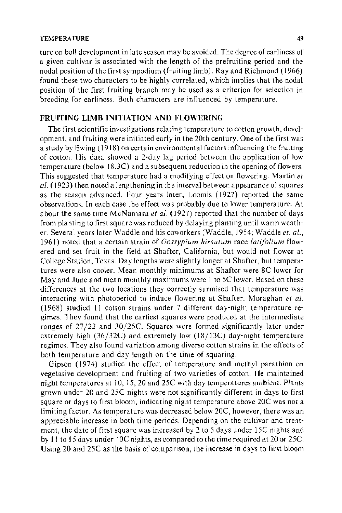#### TEMPERATURE 49

ture on boll development in late season may be avoided. The degree of earliness of a given cultivar is associated with the length of the prefruiting period and the nodal position of the first sympodium (fruiting limb). Ray and Richmond (1966) found these two characters to be highly correlated, which implies that the nodal position of the first fruiting branch may be used as a criterion for selection in breeding for earliness. Both characters are influenced by temperature.

## **FRUITING LIMB INITIATION AND FLOWERING**

The first scientific investigations relating temperature to cotton growth, development, and fruiting were initiated early in the 20th century. One of the first was a study by Ewing (1918) on certain environmental factors influencing the fruiting of cotton. His data showed a 2-day lag period between the application of low temperature (below 18.3C) and a subsequent reduction in the opening of flowers. This suggested that temperature had a modifying effect on flowering. Martin *et*  al. (1923) then noted a lengthening in the interval between appearance of squares as the season advanced. Four years later, Loomis (1927) reported the same observations. In each case the effect was probably due to lower temperature. At about the same time McNamara et al. (1927) reported that the number of days from planting to first square was reduced by delaying planting until warm weather. Several years later Waddle and his coworkers (Waddle, 1954; Waddle *et. al.,*  1961) noted that a certain strain of *Gossypium hirsutum* race *latifolium* flowered and set fruit in the field at Shafter, California, but would not flower at College Station, Texas. Day lengths were slightly longer at Shafter, but temperatures were also cooler. Mean monthly minimums at Shafter were 8C lower for May and June and mean monthly maximums were 1 to 5C lower. Based on these differences at the two locations they correctly surmised that temperature was interacting with photoperiod to induce flowering at Shafter. Moraghan *et a/.*  (1968) studied 11 cotton strains under 7 different day-night temperature regimes. They found that the earliest squares were produced at the intermediate ranges of 27/22 and 30/25C. Squares were formed significantly later under extremely high (36/32C) and extremely low (18/13C) day-night temperature regimes. They also found variation among diverse cotton strains in the effects of both temperature and day length on the time of squaring.

Gipson (1974) studied the effect of temperature and methyl parathion on vegetative development and fruiting of two varieties of cotton. He maintained night temperatures at 10, 15, 20 and 25C with day temperatures ambient. Plants grown under 20 and 25C nights were not significantly different in days to first square or days to first bloom, indicating night temperature above 20C was not a limiting factor. As temperature was decreased below 20C, however, there was an appreciable increase in both time periods. Depending on the cultivar and treatment, the date of first square was increased by 2 to 5 days under 15C nights and by 11 to 15 days under 10C nights, as compared to the time required at 20 or 25C. Using 20 and 25C as the basis of comparison, the increase in days to first bloom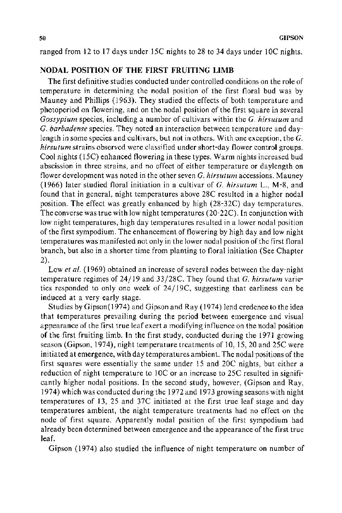ranged from 12 to 17 days under 15C nights to 28 to 34 days under 10C nights.

## **NODAL POSITION OF THE FIRST FRUITING LIMB**

The first definitive studies conducted under controlled conditions on the role of temperature in determining the nodal position of the first floral bud was by Mauney and Phillips (1963). They studied the effects of both temperature and photoperiod on flowering, and on the nodal position of the first square in several *Gossypium* species, including a number of cultivars within the *G. hirsutum* and *G. barbadense* species. They noted an interaction between temperature and daylength in some species and cultivars, but not in others. With one exception, the *G. hirsutum* strains observed were classified under short-day flower control groups. Cool nights ( 15C) enhanced flowering in these types. Warm nights increased bud abscission in three strains, and no effect of either temperature or daylength on flower development was noted in the other seven G. *hirsutum* accessions. Mauney (1966) later studied floral initiation in a cultivar of G. *hirsutum* L., M-8, and found that in general, night temperatures above 28C resulted in a higher nodal position. The effect was greatly enhanced by high (28-32C) day temperatures. The converse was true with low night temperatures (20-22C). In conjunction with low night temperatures, high day temperatures resulted in a lower nodal position of the first sympodium. The enhancement of flowering by high day and low night temperatures was manifested not only in the lower nodal position of the first floral branch, but also in a shorter time from planting to floral initiation (See Chapter 2).

Low *et al.* (1969) obtained an increase of several nodes between the day-night temperature regimes of 24/19 and 33/28C. They found that *G. hirsutum* varieties responded to only one week of 24/ 19C, suggesting that earliness can be induced at a very early stage.

Studies by Gipson(l974) and Gipson and Ray (1974) lend credence to the idea that temperatures prevailing during the period between emergence and visual appearance of the first true leaf exert a modifying influence on the nodal position of the first fruiting limb. In the first study, conducted during the 1971 growing season (Gipson, 1974), night temperature treatments of 10, 15,20 and 25C were initiated at emergence, with day temperatures ambient. The nodal positions of the first squares were essentially the same under 15 and 20C nights, but either a reduction of night temperature to 10C or an increase to 25C resulted in significantly higher nodal positions. In the second study, however, (Gipson and Ray, 1974) which was conducted during the 1972 and 1973 growing seasons with night temperatures of 13, 25 and 37C initiated at the first true leaf stage and day temperatures ambient, the night temperature treatments had no effect on the node of first square. Apparently nodal position of the first sympodium had already been determined between emergence and the appearance of the first true leaf.

Gipson (1974) also studied the influence of night temperature on number of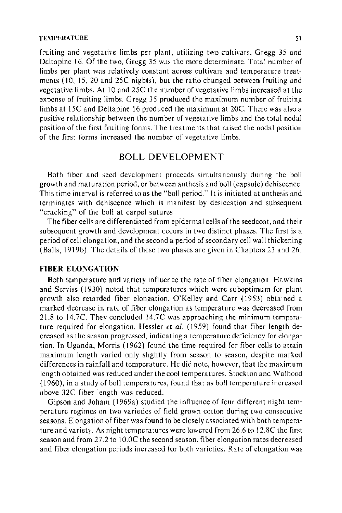fruiting and vegetative limbs per plant, utilizing two cultivars, Gregg 35 and Delta pine 16. Of the two, Gregg 35 was the more determinate. Total number of limbs per plant was relatively constant across cultivars and temperature treatments (10, 15, 20 and 25C nights), but the ratio changed between fruiting and vegetative limbs. At I 0 and 25C the number of vegetative limbs increased at the expense of fruiting limbs. Gregg 35 produced the maximum number of fruiting limbs at 15C and Deltapine 16 produced the maximum at 20C. There was also a positive relationship between the number of vegetative limbs and the total nodal position of the first fruiting forms. The treatments that raised the nodal position of the first forms increased the number of vegetative limbs.

# BOLL DEVELOPMENT

Both fiber and seed development proceeds simultaneously during the boll growth and maturation period, or between anthesis and boll (capsule) dehiscence. This time interval is referred to as the "boll period." It is initiated at anthesis and terminates with dehiscence which is manifest by desiccation and subsequent "cracking" of the boll at carpel sutures.

The fiber cells are differentiated from epidermal cells of the seed coat, and their subsequent growth and development occurs in two distinct phases. The first is a period of cell elongation, and the second a period of secondary cell wall thickening (Balls, 1919b). The details of these two phases are given in Chapters 23 and 26.

#### **FIBER** ELONGATION

Both temperature and variety influence the rate of fiber elongation. Hawkins and Serviss ( 1930) noted that temperatures which were suboptimum for plant growth also retarded fiber elongation. O'Kelley and Carr (1953) obtained a marked decrease in rate of fiber elongation as temperature was decreased from 21.8 to 14.7C. They concluded 14.7C was approaching the minimum temperature required for elongation. Hessler *et a!.* (1959) found that fiber length decreased as the season progressed, indicating a temperature deficiency for elongation. In Uganda, Morris (1962) found the time required for fiber cells to attain maximum length varied only slightly from season to season, despite marked differences in rainfall and temperature. He did note, however, that the maximum length obtained was reduced under the cool temperatures. Stockton and Walhood ( 1960), in a study of boll temperatures, found that as boll temperature increased above 32C fiber length was reduced.

Gipson and Joham ( 1969a) studied the influence of four different night temperature regimes on two varieties of field grown cotton during two consecutive seasons. Elongation of fiber was found to be closely associated with both temperature and variety. As night temperatures were lowered from 26.6 to 12.8C the first season and from 27.2 to 10.0C the second season, fiber elongation rates decreased and fiber elongation periods increased for both varieties. Rate of elongation was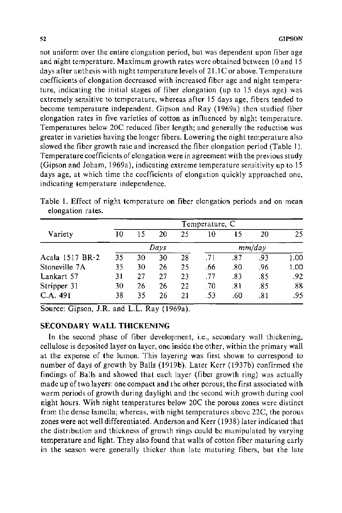not uniform over the entire elongation period, but was dependent upon fiber age and night temperature. Maximum growth rates were obtained between 10 and 15 days after anthesis with night temperature levels of 21.1C or above. Temperature coefficients of elongation decreased with increased fiber age and night temperature, indicating the initial stages of fiber elongation (up to 15 days age) was extremely sensitive to temperature, whereas after 15 days age, fibers tended to become temperature independent. Gipson and Ray (1969a) then studied fiber elongation rates in five varieties of cotton as influenced by night temperature. Temperatures below 20C reduced fiber length; and generally the reduction was greater in varieties having the longer fibers. Lowering the night temperature also slowed the fiber growth rate and increased the fiber elongation period (Table 1). Temperature coefficients of elongation were in agreement with the previous study (Gipson and Joham, 1969a), indicating extreme temperature sensitivity up to 15 days age, at which time the coefficients of elongation quickly approached one, indicating temperature independence.

Table 1. Effect of night temperature on fiber elongation periods and on mean elongation rates.

|                 | Temperature, C |    |    |        |     |     |     |       |
|-----------------|----------------|----|----|--------|-----|-----|-----|-------|
| Variety         | 10             | 15 | 20 | 25     | 10  | 15  | 20  | 25    |
|                 | Days           |    |    | mm/day |     |     |     |       |
| Acala 1517 BR-2 | 35             | 30 | 30 | 28     | .71 | .87 | .93 | 1.00  |
| Stoneville 7A   | 35             | 30 | 26 | 25     | .66 | .80 | .96 | 1.00. |
| Lankart 57      | 31             | 27 | 27 | 23     | -77 | .83 | .85 | .92   |
| Stripper 31     | 30             | 26 | 26 | 22     | -70 | .81 | .85 | .83   |
| C.A. 491        | 38             | 35 | 26 | 21     | .53 | .60 | .81 | .95   |

Source: Gipson, J.R. and L.L. Ray (1969a).

## **SECONDARY WALL THICKENING**

In the second phase of fiber development, i.e., secondary wall thickening, cellulose is deposited layer on layer, one inside the other, within the primary wall at the expense of the lumen. This layering was first shown to correspond to number of days of growth by Balls (1919b). Later Kerr (1937b) confirmed the findings of Balls and showed that each layer (fiber growth ring) was actually made up of two layers: one compact and the other porous; the first associated with warm periods of growth during daylight and the second with growth during cool night hours. With night temperatures below 20C the porous zones were distinct from the dense lamella; whereas, with night temperatures above 22C, the porous zones were not well differentiated. Anderson and Kerr ( 1938) later indicated that the distribution and thickness of growth rings could be manipulated by varying temperature and light. They also found that walls of cotton fiber maturing early in the season were generally thicker than late maturing fibers, but the late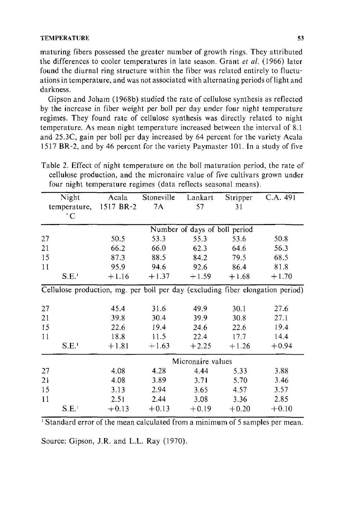#### **TEMPERATURE** 53

maturing fibers possessed the greater number of growth rings. They attributed the differences to cooler temperatures in late season. Grant *et al.* (1966) later found the diurnal ring structure within the fiber was related entirely to fluctuations in temperature, and was not associated with alternating periods of light and darkness.

Gipson and Joham (1968b) studied the rate of cellulose synthesis as reflected by the increase in fiber weight per boll per day under four night temperature regimes. They found rate of cellulose synthesis was directly related to night temperature. As mean night temperature increased between the interval of 8.1 and 25.3C, gain per boll per day increased by 64 percent for the variety Acala 1517 BR-2, and by 46 percent for the variety Paymaster 101. In a study of five

| Night<br>temperature, 1517 BR-2 |                               |                   | Acala Stoneville Lankart |         | Stripper | C.A. 491                                                                       |  |  |  |
|---------------------------------|-------------------------------|-------------------|--------------------------|---------|----------|--------------------------------------------------------------------------------|--|--|--|
|                                 |                               |                   | 7A                       | 57      | 31       |                                                                                |  |  |  |
|                                 | $\degree$ C                   |                   |                          |         |          |                                                                                |  |  |  |
|                                 | Number of days of boll period |                   |                          |         |          |                                                                                |  |  |  |
| 27                              |                               | 50.5              | 53.3                     | 55.3    | 53.6     | 50.8                                                                           |  |  |  |
| 21                              |                               | 66.2              | 66.0                     | 62.3    | 64.6     | 56.3                                                                           |  |  |  |
| 15                              |                               | 87.3              | 88.5                     | 84.2    | 79.5     | 68.5                                                                           |  |  |  |
| 11                              |                               | 95.9              | 94.6                     | 92.6    | 86.4     | 81.8                                                                           |  |  |  |
|                                 | S.E.                          | $+1.16$           | $+1.37$                  | $+1.59$ | $+1.68$  | $+1.70$                                                                        |  |  |  |
|                                 |                               |                   |                          |         |          | Cellulose production, mg. per boll per day (excluding fiber elongation period) |  |  |  |
| 27                              |                               | 45.4              | 31.6                     | 49.9    | 30.1     | 27.6                                                                           |  |  |  |
| 21                              |                               | 39.8              | 30.4                     | 39.9    | 30.8     | 27.1                                                                           |  |  |  |
| 15                              |                               | 22.6              | 19.4                     | 24.6    | 22.6     | 19.4                                                                           |  |  |  |
| 11                              |                               | 18.8              | 11.5                     | 22.4    | 17.7     | 14.4                                                                           |  |  |  |
|                                 | S.E.                          | $+1.81$           | $+1.63$                  | $+2.25$ | $+1.26$  | $+0.94$                                                                        |  |  |  |
|                                 |                               | Micronaire values |                          |         |          |                                                                                |  |  |  |
| 27                              |                               | 4.08              | 4.28                     | 4.44    | 5.33     | 3.88                                                                           |  |  |  |
| 21                              |                               | 4.08              | 3.89                     | 3.71    | 5.70     | 3.46                                                                           |  |  |  |
| 15                              |                               | 3.13              | 2.94                     | 3.65    | 4.57     | 3.57                                                                           |  |  |  |
| 11                              |                               | 2.51              | 2.44                     | 3.08    | 3.36     | 2.85                                                                           |  |  |  |
|                                 | S.E. <sup>1</sup>             | $+0.13$           | $+0.13$                  | $+0.19$ | $+0.20$  | $+0.10$                                                                        |  |  |  |

Table 2. Effect of night temperature on the boll maturation period, the rate of cellulose production, and the micronaire value of five cultivars grown under four night temperature regimes (data reflects seasonal means).

<sup>1</sup> Standard error of the mean calculated from a minimum of 5 samples per mean.

Source: Gipson, J.R. and L.L. Ray (1970).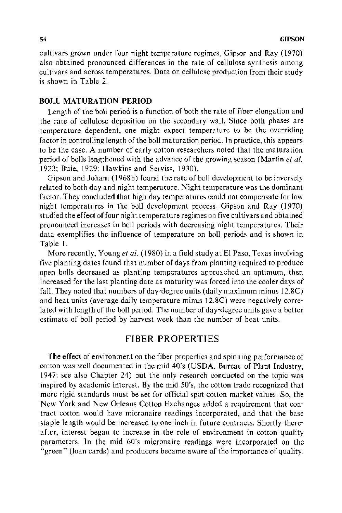cultivars grown under four night temperature regimes, Gipson and Ray (1970) also obtained pronounced differences in the rate of cellulose synthesis among cultivars and across temperatures. Data on cellulose production from their study is shown in Table 2.

#### BOLL MATURATION PERIOD

Length of the boll period is a function of both the rate of fiber elongation and the rate of cellulose deposition on the secondary wall. Since both phases are temperature dependent, one might expect temperature to be the overriding factor in controlling length of the boll maturation period. In practice, this appears to be the case. A number of early cotton researchers noted that the maturation period of bolls lengthened with the advance of the growing season (Martinet *a!.*  1923; Buie, 1929; Hawkins and Serviss, 1930).

Gipson and Joham ( 1968b) found the rate of boll development to be inversely related to both day and night temperature. Night temperature was the dominant factor. They concluded that high day temperatures could not compensate for low night temperatures in the boll development process. Gipson and Ray (1970) studied the effect of four night temperature regimes on five cultivars and obtained pronounced increases in boll periods with decreasing night temperatures. Their data exemplifies the influence of temperature on boll periods and is shown in Table 1.

More recently, Young *et al.* (1980) in a field study at El Paso, Texas involving five planting dates found that number of days from planting required to produce open bolls decreased as planting temperatures approached an optimum, then increased for the last planting date as maturity was forced into the cooler days of fall. They noted that numbers of day-degree units (daily maximum minus 12.8C) and heat units (average daily temperature minus 12.8C) were negatively correlated with length of the boll period. The number of day-degree units gave a better estimate of boll period by harvest week than the number of heat units.

# FIBER PROPER TIES

The effect of environment on the fiber properties and spinning performance of cotton was well documented in the mid 40's (USDA, Bureau of Plant Industry, 1947; see also Chapter 24) but the only research conducted on the topic was inspired by academic interest. By the mid 50's, the cotton trade recognized that more rigid standards must be set for official spot cotton market values. So, the New York and New Orleans Cotton Exchanges added a requirement that contract cotton would have micronaire readings incorporated, and that the base staple length would be increased to one inch in future contracts. Shortly thereafter, interest began to increase in the role of environment in cotton quality parameters. In the mid 60's micronaire readings were incorporated on the "green" (loan cards) and producers became aware of the importance of quality.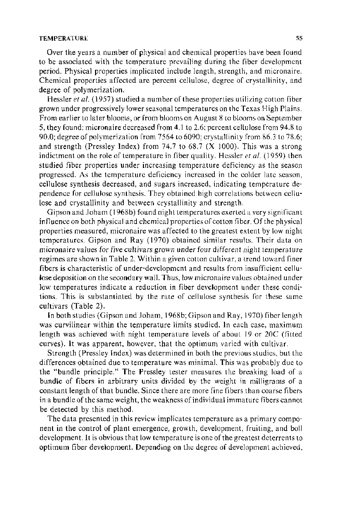#### TEMPERATURE 55

Over the years a number of physical and chemical properties have been found to be associated with the temperature prevailing during the fiber development period. Physical properties implicated include length, strength, and micronaire. Chemical properties affected are percent cellulose, degree of crystallinity, and degree of polymerization.

Hessler *et al.* (1957) studied a number of these properties utilizing cotton fiber grown under progressively lower seasonal temperatures on the Texas High Plains. From earlier to later blooms, or from blooms on August 8 to blooms on September 5, they found: micronaire decreased from 4.1 to 2.6; percent cellulose from 94.8 to 90.0; degree of polymerization from 7564 to 6090; crystallinity from 86.3 to 78.6; and strength (Pressley Index) from 74.7 to 68.7 (X 1000). This was a strong indictment on the role of temperature in fiber quality. Hessler *et al.* (1959) then studied fiber properties under increasing temperature deficiency as the season progressed. As the temperature deficiency increased in the colder late season, cellulose synthesis decreased, and sugars increased, indicating temperature dependence for cellulose synthesis. They obtained high correlations between cellulose and crystallinity and between crystallinity and strength.

Gipson and Joham ( 1968b) found night temperatures exerted a very significant influence on both physical and chemical properties of cotton fiber. Of the physical properties measured, micronaire was affected to the greatest extent by low night temperatures. Gipson and Ray (1970) obtained similar results. Their data on micronaire values for five cultivars grown under four different night temperature regimes are shown in Table 2. Within a given cotton cultivar, a trend toward finer fibers is characteristic of under-development and results from insufficient cellulose deposition on the secondary wall. Thus, low micronaire values obtained under low temperatures indicate a reduction in fiber development under these conditions. This is substantiated by the rate of cellulose synthesis for these same cultivars (Table 2).

In both studies (Gipson and Joham, 1968b; Gipson and Ray, 1970) fiber length was curvilinear within the temperature limits studied. In each case, maximum length was achieved with night temperature levels of about 19 or 20C (fitted curves). It was apparent, however, that the optimum varied with cultivar.

Strength (Pressley Index) was determined in both the previous studies, but the differences obtained due to temperature was minimal. This was probably due to the "bundle principle." The Pressley tester measures the breaking load of a bundle of fibers in arbitrary units divided by the weight in milligrams of a constant length of that bundle. Since there are more fine fibers than coarse fibers in a bundle of the same weight, the weakness of individual immature fibers cannot be detected by this method.

The data presented in this review implicates temperature as a primary component in the control of plant emergence, growth, development, fruiting, and boll development. It is obvious that low temperature is one of the greatest deterrents to optimum fiber development. Depending on the degree of development achieved,